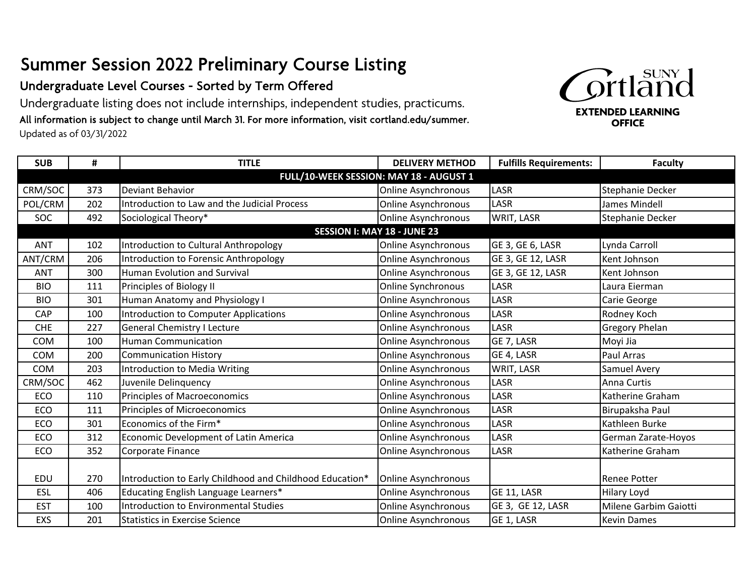## Summer Session 2022 Preliminary Course Listing

## Undergraduate Level Courses - Sorted by Term Offered

Undergraduate listing does not include internships, independent studies, practicums. All information is subject to change until March 31. For more information, visit cortland.edu/summer. Updated as of 03/31/2022



| <b>SUB</b>                              | #                                  | <b>TITLE</b>                                             | <b>DELIVERY METHOD</b>     | <b>Fulfills Requirements:</b> | <b>Faculty</b>        |  |  |
|-----------------------------------------|------------------------------------|----------------------------------------------------------|----------------------------|-------------------------------|-----------------------|--|--|
| FULL/10-WEEK SESSION: MAY 18 - AUGUST 1 |                                    |                                                          |                            |                               |                       |  |  |
| CRM/SOC                                 | 373                                | Deviant Behavior                                         | <b>Online Asynchronous</b> | LASR                          | Stephanie Decker      |  |  |
| POL/CRM                                 | 202                                | Introduction to Law and the Judicial Process             | <b>Online Asynchronous</b> | <b>LASR</b>                   | James Mindell         |  |  |
| SOC                                     | 492                                | Sociological Theory*                                     | Online Asynchronous        | WRIT, LASR                    | Stephanie Decker      |  |  |
|                                         | <b>SESSION I: MAY 18 - JUNE 23</b> |                                                          |                            |                               |                       |  |  |
| <b>ANT</b>                              | 102                                | Introduction to Cultural Anthropology                    | <b>Online Asynchronous</b> | GE 3, GE 6, LASR              | Lynda Carroll         |  |  |
| ANT/CRM                                 | 206                                | Introduction to Forensic Anthropology                    | <b>Online Asynchronous</b> | GE 3, GE 12, LASR             | Kent Johnson          |  |  |
| <b>ANT</b>                              | 300                                | <b>Human Evolution and Survival</b>                      | Online Asynchronous        | GE 3, GE 12, LASR             | Kent Johnson          |  |  |
| <b>BIO</b>                              | 111                                | Principles of Biology II                                 | Online Synchronous         | LASR                          | Laura Eierman         |  |  |
| <b>BIO</b>                              | 301                                | Human Anatomy and Physiology I                           | <b>Online Asynchronous</b> | LASR                          | Carie George          |  |  |
| CAP                                     | 100                                | <b>Introduction to Computer Applications</b>             | <b>Online Asynchronous</b> | LASR                          | Rodney Koch           |  |  |
| <b>CHE</b>                              | 227                                | <b>General Chemistry I Lecture</b>                       | <b>Online Asynchronous</b> | LASR                          | <b>Gregory Phelan</b> |  |  |
| <b>COM</b>                              | 100                                | <b>Human Communication</b>                               | Online Asynchronous        | GE 7, LASR                    | Moyi Jia              |  |  |
| <b>COM</b>                              | 200                                | <b>Communication History</b>                             | Online Asynchronous        | GE 4, LASR                    | Paul Arras            |  |  |
| <b>COM</b>                              | 203                                | Introduction to Media Writing                            | <b>Online Asynchronous</b> | WRIT, LASR                    | Samuel Avery          |  |  |
| CRM/SOC                                 | 462                                | Juvenile Delinguency                                     | <b>Online Asynchronous</b> | LASR                          | Anna Curtis           |  |  |
| ECO                                     | 110                                | Principles of Macroeconomics                             | Online Asynchronous        | LASR                          | Katherine Graham      |  |  |
| ECO                                     | 111                                | Principles of Microeconomics                             | <b>Online Asynchronous</b> | LASR                          | Birupaksha Paul       |  |  |
| ECO                                     | 301                                | Economics of the Firm*                                   | Online Asynchronous        | LASR                          | Kathleen Burke        |  |  |
| ECO                                     | 312                                | Economic Development of Latin America                    | <b>Online Asynchronous</b> | LASR                          | German Zarate-Hoyos   |  |  |
| ECO                                     | 352                                | Corporate Finance                                        | Online Asynchronous        | LASR                          | Katherine Graham      |  |  |
|                                         |                                    |                                                          |                            |                               |                       |  |  |
| EDU                                     | 270                                | Introduction to Early Childhood and Childhood Education* | Online Asynchronous        |                               | <b>Renee Potter</b>   |  |  |
| ESL                                     | 406                                | Educating English Language Learners*                     | <b>Online Asynchronous</b> | GE 11, LASR                   | <b>Hilary Loyd</b>    |  |  |
| <b>EST</b>                              | 100                                | Introduction to Environmental Studies                    | Online Asynchronous        | GE 3, GE 12, LASR             | Milene Garbim Gaiotti |  |  |
| EXS                                     | 201                                | <b>Statistics in Exercise Science</b>                    | <b>Online Asynchronous</b> | GE 1, LASR                    | <b>Kevin Dames</b>    |  |  |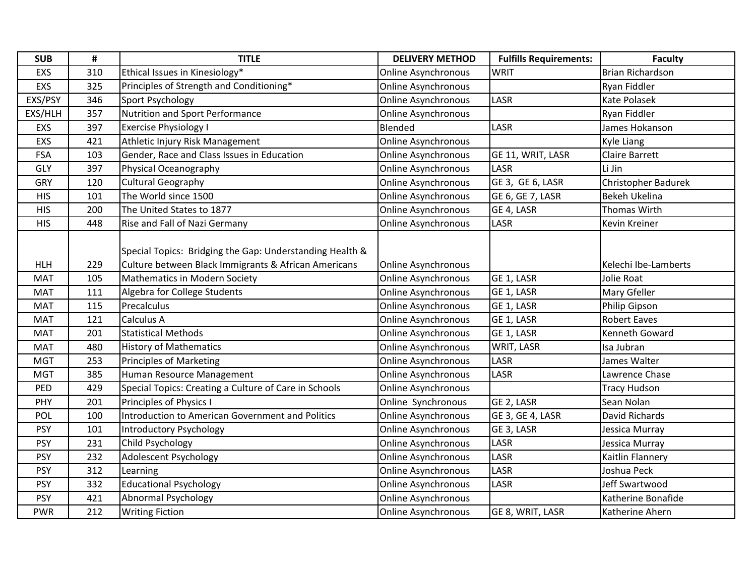| <b>SUB</b> | #   | <b>TITLE</b>                                             | <b>DELIVERY METHOD</b>     | <b>Fulfills Requirements:</b> | <b>Faculty</b>          |
|------------|-----|----------------------------------------------------------|----------------------------|-------------------------------|-------------------------|
| EXS        | 310 | Ethical Issues in Kinesiology*                           | <b>Online Asynchronous</b> | <b>WRIT</b>                   | <b>Brian Richardson</b> |
| EXS        | 325 | Principles of Strength and Conditioning*                 | <b>Online Asynchronous</b> |                               | Ryan Fiddler            |
| EXS/PSY    | 346 | Sport Psychology                                         | <b>Online Asynchronous</b> | LASR                          | Kate Polasek            |
| EXS/HLH    | 357 | Nutrition and Sport Performance                          | <b>Online Asynchronous</b> |                               | Ryan Fiddler            |
| EXS        | 397 | <b>Exercise Physiology I</b>                             | Blended                    | LASR                          | James Hokanson          |
| EXS        | 421 | Athletic Injury Risk Management                          | <b>Online Asynchronous</b> |                               | Kyle Liang              |
| <b>FSA</b> | 103 | Gender, Race and Class Issues in Education               | <b>Online Asynchronous</b> | GE 11, WRIT, LASR             | <b>Claire Barrett</b>   |
| GLY        | 397 | Physical Oceanography                                    | <b>Online Asynchronous</b> | LASR                          | Li Jin                  |
| GRY        | 120 | <b>Cultural Geography</b>                                | <b>Online Asynchronous</b> | GE 3, GE 6, LASR              | Christopher Badurek     |
| <b>HIS</b> | 101 | The World since 1500                                     | <b>Online Asynchronous</b> | GE 6, GE 7, LASR              | Bekeh Ukelina           |
| <b>HIS</b> | 200 | The United States to 1877                                | <b>Online Asynchronous</b> | GE 4, LASR                    | <b>Thomas Wirth</b>     |
| <b>HIS</b> | 448 | Rise and Fall of Nazi Germany                            | Online Asynchronous        | LASR                          | Kevin Kreiner           |
|            |     |                                                          |                            |                               |                         |
|            |     | Special Topics: Bridging the Gap: Understanding Health & |                            |                               |                         |
| <b>HLH</b> | 229 | Culture between Black Immigrants & African Americans     | Online Asynchronous        |                               | Kelechi Ibe-Lamberts    |
| <b>MAT</b> | 105 | <b>Mathematics in Modern Society</b>                     | <b>Online Asynchronous</b> | GE 1, LASR                    | Jolie Roat              |
| <b>MAT</b> | 111 | Algebra for College Students                             | <b>Online Asynchronous</b> | GE 1, LASR                    | Mary Gfeller            |
| <b>MAT</b> | 115 | Precalculus                                              | <b>Online Asynchronous</b> | GE 1, LASR                    | Philip Gipson           |
| <b>MAT</b> | 121 | Calculus A                                               | Online Asynchronous        | GE 1, LASR                    | <b>Robert Eaves</b>     |
| <b>MAT</b> | 201 | <b>Statistical Methods</b>                               | <b>Online Asynchronous</b> | GE 1, LASR                    | Kenneth Goward          |
| <b>MAT</b> | 480 | <b>History of Mathematics</b>                            | <b>Online Asynchronous</b> | WRIT, LASR                    | Isa Jubran              |
| <b>MGT</b> | 253 | <b>Principles of Marketing</b>                           | <b>Online Asynchronous</b> | LASR                          | James Walter            |
| <b>MGT</b> | 385 | Human Resource Management                                | <b>Online Asynchronous</b> | LASR                          | Lawrence Chase          |
| PED        | 429 | Special Topics: Creating a Culture of Care in Schools    | <b>Online Asynchronous</b> |                               | <b>Tracy Hudson</b>     |
| PHY        | 201 | Principles of Physics I                                  | Online Synchronous         | GE 2, LASR                    | Sean Nolan              |
| POL        | 100 | Introduction to American Government and Politics         | <b>Online Asynchronous</b> | GE 3, GE 4, LASR              | David Richards          |
| <b>PSY</b> | 101 | Introductory Psychology                                  | <b>Online Asynchronous</b> | GE 3, LASR                    | Jessica Murray          |
| <b>PSY</b> | 231 | Child Psychology                                         | <b>Online Asynchronous</b> | LASR                          | Jessica Murray          |
| <b>PSY</b> | 232 | Adolescent Psychology                                    | <b>Online Asynchronous</b> | LASR                          | Kaitlin Flannery        |
| <b>PSY</b> | 312 | Learning                                                 | <b>Online Asynchronous</b> | LASR                          | Joshua Peck             |
| <b>PSY</b> | 332 | <b>Educational Psychology</b>                            | <b>Online Asynchronous</b> | LASR                          | Jeff Swartwood          |
| <b>PSY</b> | 421 | <b>Abnormal Psychology</b>                               | <b>Online Asynchronous</b> |                               | Katherine Bonafide      |
| <b>PWR</b> | 212 | <b>Writing Fiction</b>                                   | Online Asynchronous        | GE 8, WRIT, LASR              | Katherine Ahern         |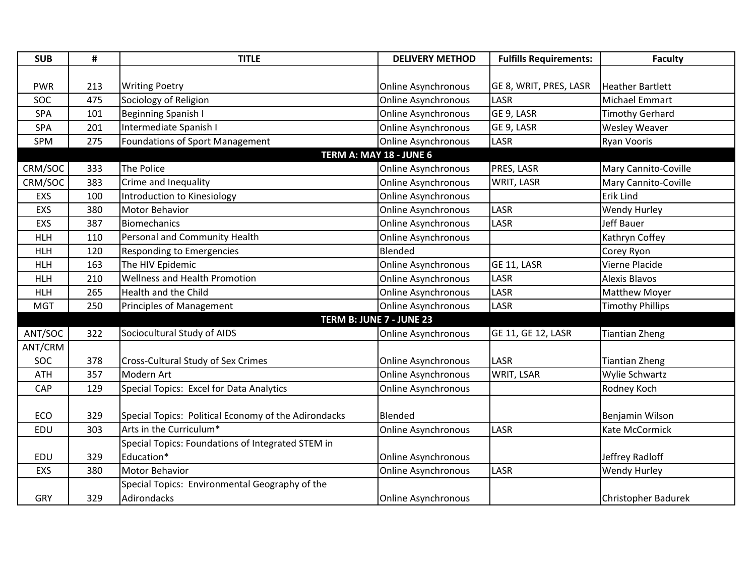| <b>SUB</b> | #   | <b>TITLE</b>                                         | <b>DELIVERY METHOD</b>     | <b>Fulfills Requirements:</b> | <b>Faculty</b>             |
|------------|-----|------------------------------------------------------|----------------------------|-------------------------------|----------------------------|
|            |     |                                                      |                            |                               |                            |
| <b>PWR</b> | 213 | <b>Writing Poetry</b>                                | <b>Online Asynchronous</b> | GE 8, WRIT, PRES, LASR        | <b>Heather Bartlett</b>    |
| SOC        | 475 | Sociology of Religion                                | <b>Online Asynchronous</b> | LASR                          | Michael Emmart             |
| SPA        | 101 | Beginning Spanish I                                  | <b>Online Asynchronous</b> | GE 9, LASR                    | <b>Timothy Gerhard</b>     |
| <b>SPA</b> | 201 | Intermediate Spanish I                               | <b>Online Asynchronous</b> | GE 9, LASR                    | <b>Wesley Weaver</b>       |
| <b>SPM</b> | 275 | Foundations of Sport Management                      | <b>Online Asynchronous</b> | LASR                          | <b>Ryan Vooris</b>         |
|            |     |                                                      | TERM A: MAY 18 - JUNE 6    |                               |                            |
| CRM/SOC    | 333 | The Police                                           | <b>Online Asynchronous</b> | PRES, LASR                    | Mary Cannito-Coville       |
| CRM/SOC    | 383 | Crime and Inequality                                 | <b>Online Asynchronous</b> | WRIT, LASR                    | Mary Cannito-Coville       |
| EXS        | 100 | Introduction to Kinesiology                          | <b>Online Asynchronous</b> |                               | Erik Lind                  |
| EXS        | 380 | Motor Behavior                                       | <b>Online Asynchronous</b> | LASR                          | Wendy Hurley               |
| EXS        | 387 | <b>Biomechanics</b>                                  | <b>Online Asynchronous</b> | LASR                          | <b>Jeff Bauer</b>          |
| <b>HLH</b> | 110 | Personal and Community Health                        | <b>Online Asynchronous</b> |                               | Kathryn Coffey             |
| <b>HLH</b> | 120 | Responding to Emergencies                            | Blended                    |                               | Corey Ryon                 |
| <b>HLH</b> | 163 | The HIV Epidemic                                     | <b>Online Asynchronous</b> | GE 11, LASR                   | Vierne Placide             |
| <b>HLH</b> | 210 | Wellness and Health Promotion                        | <b>Online Asynchronous</b> | LASR                          | <b>Alexis Blavos</b>       |
| <b>HLH</b> | 265 | Health and the Child                                 | <b>Online Asynchronous</b> | LASR                          | Matthew Moyer              |
| <b>MGT</b> | 250 | Principles of Management                             | <b>Online Asynchronous</b> | LASR                          | <b>Timothy Phillips</b>    |
|            |     |                                                      | TERM B: JUNE 7 - JUNE 23   |                               |                            |
| ANT/SOC    | 322 | Sociocultural Study of AIDS                          | <b>Online Asynchronous</b> | GE 11, GE 12, LASR            | <b>Tiantian Zheng</b>      |
| ANT/CRM    |     |                                                      |                            |                               |                            |
| SOC        | 378 | Cross-Cultural Study of Sex Crimes                   | <b>Online Asynchronous</b> | LASR                          | <b>Tiantian Zheng</b>      |
| <b>ATH</b> | 357 | Modern Art                                           | <b>Online Asynchronous</b> | WRIT, LSAR                    | Wylie Schwartz             |
| CAP        | 129 | Special Topics: Excel for Data Analytics             | <b>Online Asynchronous</b> |                               | Rodney Koch                |
|            |     |                                                      |                            |                               |                            |
| ECO        | 329 | Special Topics: Political Economy of the Adirondacks | Blended                    |                               | Benjamin Wilson            |
| EDU        | 303 | Arts in the Curriculum*                              | <b>Online Asynchronous</b> | LASR                          | Kate McCormick             |
|            |     | Special Topics: Foundations of Integrated STEM in    |                            |                               |                            |
| <b>EDU</b> | 329 | Education*                                           | <b>Online Asynchronous</b> |                               | Jeffrey Radloff            |
| EXS        | 380 | Motor Behavior                                       | <b>Online Asynchronous</b> | LASR                          | <b>Wendy Hurley</b>        |
|            |     | Special Topics: Environmental Geography of the       |                            |                               |                            |
| <b>GRY</b> | 329 | Adirondacks                                          | <b>Online Asynchronous</b> |                               | <b>Christopher Badurek</b> |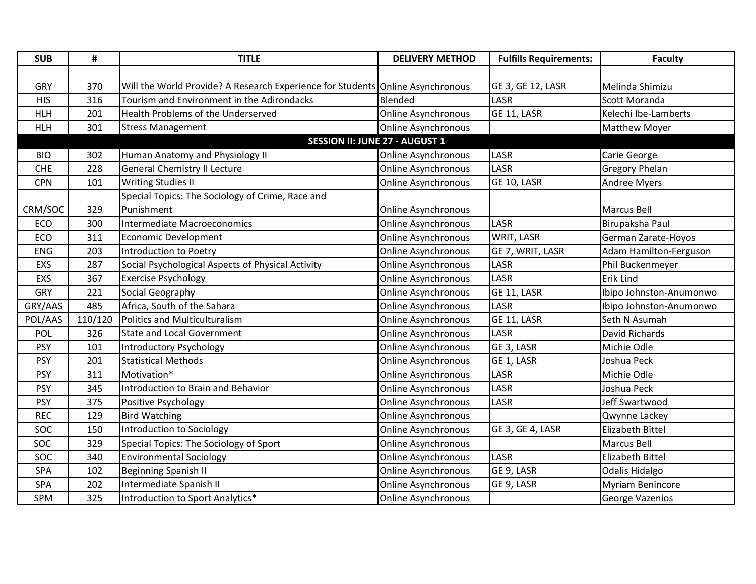| <b>SUB</b> | #       | <b>TITLE</b>                                                                   | <b>DELIVERY METHOD</b>     | <b>Fulfills Requirements:</b> | <b>Faculty</b>          |
|------------|---------|--------------------------------------------------------------------------------|----------------------------|-------------------------------|-------------------------|
|            |         |                                                                                |                            |                               |                         |
| GRY        | 370     | Will the World Provide? A Research Experience for Students Online Asynchronous |                            | GE 3, GE 12, LASR             | Melinda Shimizu         |
| <b>HIS</b> | 316     | Tourism and Environment in the Adirondacks                                     | Blended                    | LASR                          | Scott Moranda           |
| <b>HLH</b> | 201     | Health Problems of the Underserved                                             | <b>Online Asynchronous</b> | GE 11, LASR                   | Kelechi Ibe-Lamberts    |
| <b>HLH</b> | 301     | <b>Stress Management</b>                                                       | <b>Online Asynchronous</b> |                               | Matthew Moyer           |
|            |         | <b>SESSION II: JUNE 27 - AUGUST 1</b>                                          |                            |                               |                         |
| <b>BIO</b> | 302     | Human Anatomy and Physiology II                                                | <b>Online Asynchronous</b> | LASR                          | Carie George            |
| <b>CHE</b> | 228     | <b>General Chemistry II Lecture</b>                                            | <b>Online Asynchronous</b> | LASR                          | <b>Gregory Phelan</b>   |
| <b>CPN</b> | 101     | <b>Writing Studies II</b>                                                      | Online Asynchronous        | GE 10, LASR                   | <b>Andree Myers</b>     |
|            |         | Special Topics: The Sociology of Crime, Race and                               |                            |                               |                         |
| CRM/SOC    | 329     | Punishment                                                                     | <b>Online Asynchronous</b> |                               | <b>Marcus Bell</b>      |
| ECO        | 300     | Intermediate Macroeconomics                                                    | <b>Online Asynchronous</b> | LASR                          | Birupaksha Paul         |
| ECO        | 311     | <b>Economic Development</b>                                                    | <b>Online Asynchronous</b> | WRIT, LASR                    | German Zarate-Hoyos     |
| <b>ENG</b> | 203     | Introduction to Poetry                                                         | <b>Online Asynchronous</b> | GE 7, WRIT, LASR              | Adam Hamilton-Ferguson  |
| EXS        | 287     | Social Psychological Aspects of Physical Activity                              | <b>Online Asynchronous</b> | LASR                          | Phil Buckenmeyer        |
| EXS        | 367     | <b>Exercise Psychology</b>                                                     | <b>Online Asynchronous</b> | LASR                          | Erik Lind               |
| <b>GRY</b> | 221     | Social Geography                                                               | <b>Online Asynchronous</b> | GE 11, LASR                   | Ibipo Johnston-Anumonwo |
| GRY/AAS    | 485     | Africa, South of the Sahara                                                    | <b>Online Asynchronous</b> | LASR                          | Ibipo Johnston-Anumonwo |
| POL/AAS    | 110/120 | <b>Politics and Multiculturalism</b>                                           | <b>Online Asynchronous</b> | GE 11, LASR                   | Seth N Asumah           |
| POL        | 326     | <b>State and Local Government</b>                                              | <b>Online Asynchronous</b> | LASR                          | David Richards          |
| <b>PSY</b> | 101     | Introductory Psychology                                                        | <b>Online Asynchronous</b> | GE 3, LASR                    | Michie Odle             |
| <b>PSY</b> | 201     | <b>Statistical Methods</b>                                                     | <b>Online Asynchronous</b> | GE 1, LASR                    | Joshua Peck             |
| <b>PSY</b> | 311     | Motivation*                                                                    | <b>Online Asynchronous</b> | LASR                          | Michie Odle             |
| <b>PSY</b> | 345     | Introduction to Brain and Behavior                                             | <b>Online Asynchronous</b> | LASR                          | Joshua Peck             |
| <b>PSY</b> | 375     | Positive Psychology                                                            | <b>Online Asynchronous</b> | LASR                          | Jeff Swartwood          |
| <b>REC</b> | 129     | <b>Bird Watching</b>                                                           | <b>Online Asynchronous</b> |                               | Qwynne Lackey           |
| SOC        | 150     | Introduction to Sociology                                                      | <b>Online Asynchronous</b> | GE 3, GE 4, LASR              | Elizabeth Bittel        |
| <b>SOC</b> | 329     | Special Topics: The Sociology of Sport                                         | <b>Online Asynchronous</b> |                               | <b>Marcus Bell</b>      |
| SOC        | 340     | <b>Environmental Sociology</b>                                                 | <b>Online Asynchronous</b> | LASR                          | Elizabeth Bittel        |
| SPA        | 102     | <b>Beginning Spanish II</b>                                                    | <b>Online Asynchronous</b> | GE 9, LASR                    | Odalis Hidalgo          |
| SPA        | 202     | Intermediate Spanish II                                                        | <b>Online Asynchronous</b> | GE 9, LASR                    | Myriam Benincore        |
| SPM        | 325     | Introduction to Sport Analytics*                                               | <b>Online Asynchronous</b> |                               | George Vazenios         |